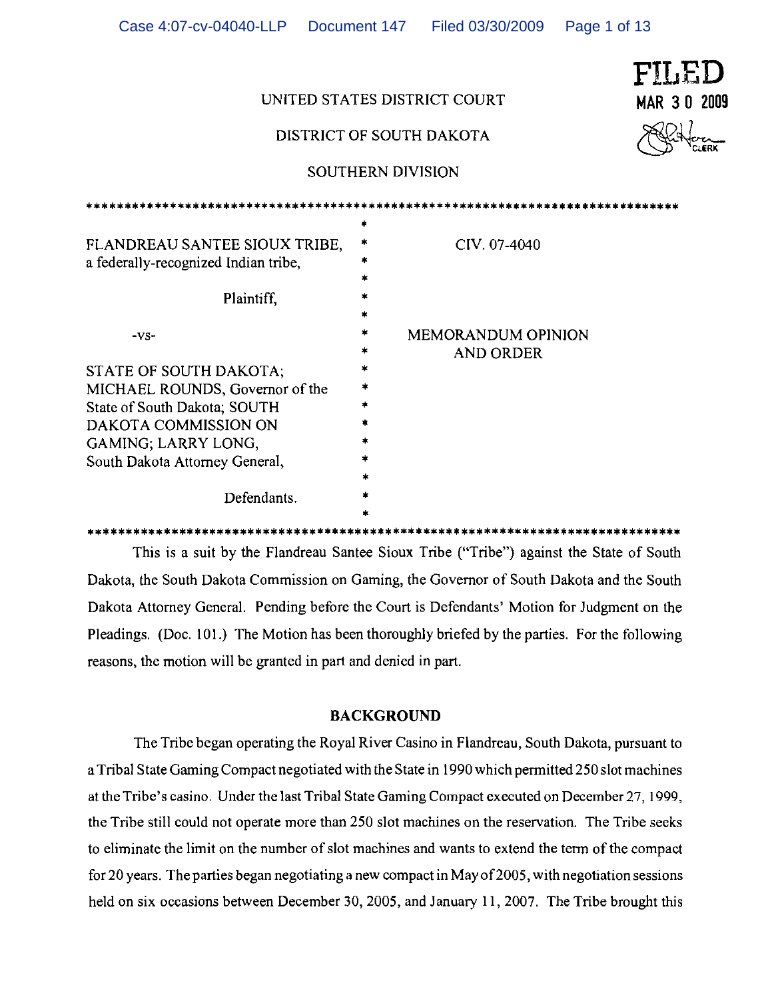|                                                                                                                                                                 |                                                                 | UNITED STATES DISTRICT COURT<br>DISTRICT OF SOUTH DAKOTA<br><b>SOUTHERN DIVISION</b> | FILED<br><b>MAR 30 2009</b> |
|-----------------------------------------------------------------------------------------------------------------------------------------------------------------|-----------------------------------------------------------------|--------------------------------------------------------------------------------------|-----------------------------|
|                                                                                                                                                                 |                                                                 |                                                                                      |                             |
| FLANDREAU SANTEE SIOUX TRIBE,<br>a federally-recognized Indian tribe,<br>Plaintiff,<br>$-VS-$<br>STATE OF SOUTH DAKOTA;                                         | ٠<br>*<br>*<br>×<br>$\star$<br>$\mathbf{a}$<br>*<br>*<br>×<br>* | CIV. 07-4040<br><b>MEMORANDUM OPINION</b><br><b>AND ORDER</b>                        |                             |
| MICHAEL ROUNDS, Governor of the<br>State of South Dakota; SOUTH<br>DAKOTA COMMISSION ON<br>GAMING; LARRY LONG,<br>South Dakota Attorney General,<br>Defendants. | *<br>*                                                          |                                                                                      |                             |

Case 4:07-cv-04040-LLP Document 147 Filed 03/30/2009 Page 1 of 13

**\*\*\*\*\*\*\*\*\*\*\*\*\*\*\*\*\*\*\*\*\*\*\*\*\*\*\*\*\*\*\*\*\*\*\*\*\*\*\*\*\*\*\*\*\*\*\*\*\*\*\*\*\*\*\*\*\*\*\*\*\*\*\*\*\*\*\*\*\*\*\*\*\*\*\*\*\*\***  This is a suit by the Flandreau Santee Sioux Tribe ("Tribe") against the State of South Dakota, the South Dakota Commission on Gaming, the Governor of South Dakota and the South Dakota Attorney General. Pending before the Court is Defendants' Motion for Judgment on the Pleadings. (Doc. 101.) The Motion has been thoroughly briefed by the parties. For the following reasons, the motion will be granted in part and denied in part.

## **BACKGROUND**

The Tribe began operating the Royal River Casino in Flandreau, South Dakota, pursuant to a Tribal State Gaming Compact negotiated with the State in 1990 which permitted 250 slot machines at the Tribe's casino. Under the last Tribal State Gaming Compact executed on December 27, 1999, the Tribe still could not operate more than 250 slot machines on the reservation. The Tribe seeks to eliminate the limit on the number of slot machines and wants to extend the term of the compact for 20 years. The parties began negotiating a new compact in May of 2005, with negotiation sessions held on six occasions between December 30, 2005, and January 11, 2007. The Tribe brought this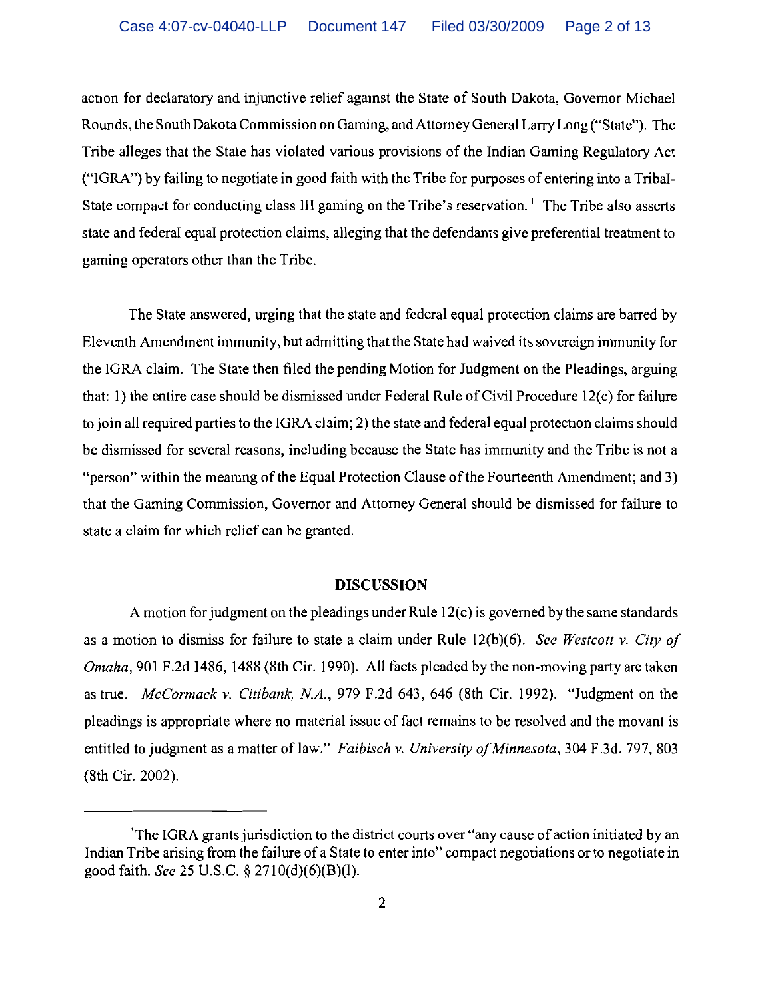action for declaratory and injunctive relief against the State of South Dakota, Governor Michael Rounds, the South Dakota Commission on Gaming, and Attorney General Larry Long ("State"). The Tribe alleges that the State has violated various provisions of the Indian Gaming Regulatory Act ("IGRA") by failing to negotiate in good faith with the Tribe for purposes of entering into a Tribal-State compact for conducting class III gaming on the Tribe's reservation.<sup>1</sup> The Tribe also asserts state and federal equal protection claims, alleging that the defendants give preferential treatment to gaming operators other than the Tribe.

The State answered, urging that the state and federal equal protection claims are barred by Eleventh Amendment immunity, but admitting that the State had waived its sovereign immunity for the IGRA claim. The State then filed the pending Motion for Judgment on the Pleadings, arguing that: 1) the entire case should be dismissed under Federal Rule of Civil Procedure  $12(c)$  for failure to join all required parties to the IGRA claim; 2) the state and federal equal protection claims should be dismissed for several reasons, including because the State has immunity and the Tribe is not a "person" within the meaning of the Equal Protection Clause of the Fourteenth Amendment; and 3) that the Gaming Commission, Governor and Attorney General should be dismissed for failure to state a claim for which relief can be granted.

#### **DISCUSSION**

A motion for judgment on the pleadings under Rule 12(c) is governed by the same standards as a motion to dismiss for failure to state a claim under Rule 12(b)(6). *See Westcott v. City of Omaha*, 901 F.2d 1486, 1488 (8th Cir. 1990). All facts pleaded by the non-moving party are taken as true. *McCormack v. Citibank, N.A.*, 979 F.2d 643, 646 (8th Cir. 1992). "Judgment on the pleadings is appropriate where no material issue of fact remains to be resolved and the movant is entitled to judgment as a matter of law." *Faibisch v. University of Minnesota*, 304 F.3d. 797, 803 (8th Cir. 2002).

<sup>&</sup>lt;sup>1</sup>The IGRA grants jurisdiction to the district courts over "any cause of action initiated by an Indian Tribe arising from the failure of a State to enter into" compact negotiations or to negotiate in good faith. *See* 25 U.S.C. § 2710(d)(6)(B)(I).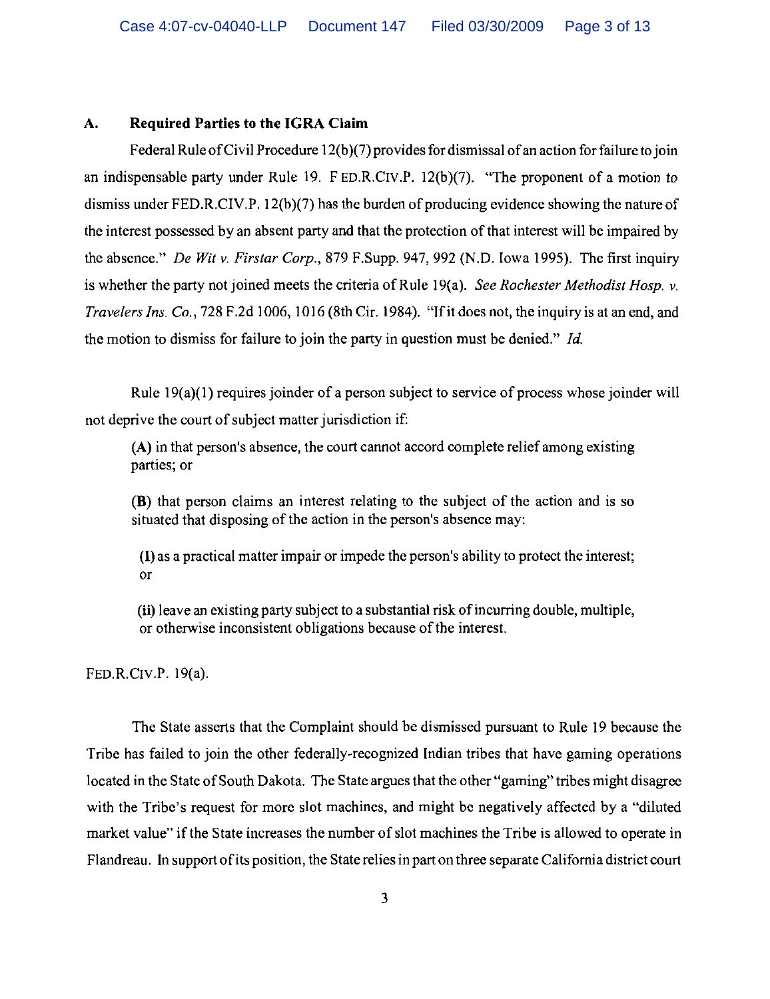## A. Required Parties to the IGRA Claim

Federal Rule of Civil Procedure 12(b)(7) provides for dismissal of an action for failure to join an indispensable party under Rule 19. F ED.R.CIV.P. 12(b)(7). "The proponent of a motion to dismiss under FED.R.CIV.P. 12(b)(7) has the burden of producing evidence showing the nature of the interest possessed by an absent party and that the protection ofthat interest will be impaired by the absence." *De Wit v. Firstar Corp.,* 879 F.Supp. 947, 992 (N.D. Iowa 1995). The first inquiry is whether the party not joined meets the criteria ofRule 19(a). *See Rochester Methodist Hasp. v. Travelers Ins. Co.,* 728 F.2d 1006, 1016 (8th Cir. 1984). "Ifit does not, the inquiry is at an end, and the motion to dismiss for failure to join the party in question must be denied." *Id.* 

Rule 19(a)(1) requires joinder of a person subject to service of process whose joinder will not deprive the court of subject matter jurisdiction if:

(A) in that person's absence, the court cannot accord complete relief among existing parties; or

(B) that person claims an interest relating to the subject of the action and is so situated that disposing of the action in the person's absence may:

(I) as a practical matter impair or impede the person's ability to protect the interest; or

(ii) leave an existing party subject to a substantial risk of incurring double, multiple, or otherwise inconsistent obligations because of the interest.

FED.R.CIV.P.19(a).

The State asserts that the Complaint should be dismissed pursuant to Rule 19 because the Tribe has failed to join the other federally-recognized Indian tribes that have gaming operations located in the State of South Dakota. The State argues that the other "gaming" tribes might disagree with the Tribe's request for more slot machines, and might be negatively affected by a "diluted market value" if the State increases the number of slot machines the Tribe is allowed to operate in Flandreau. In support ofits position, the State relies in part on three separate California district court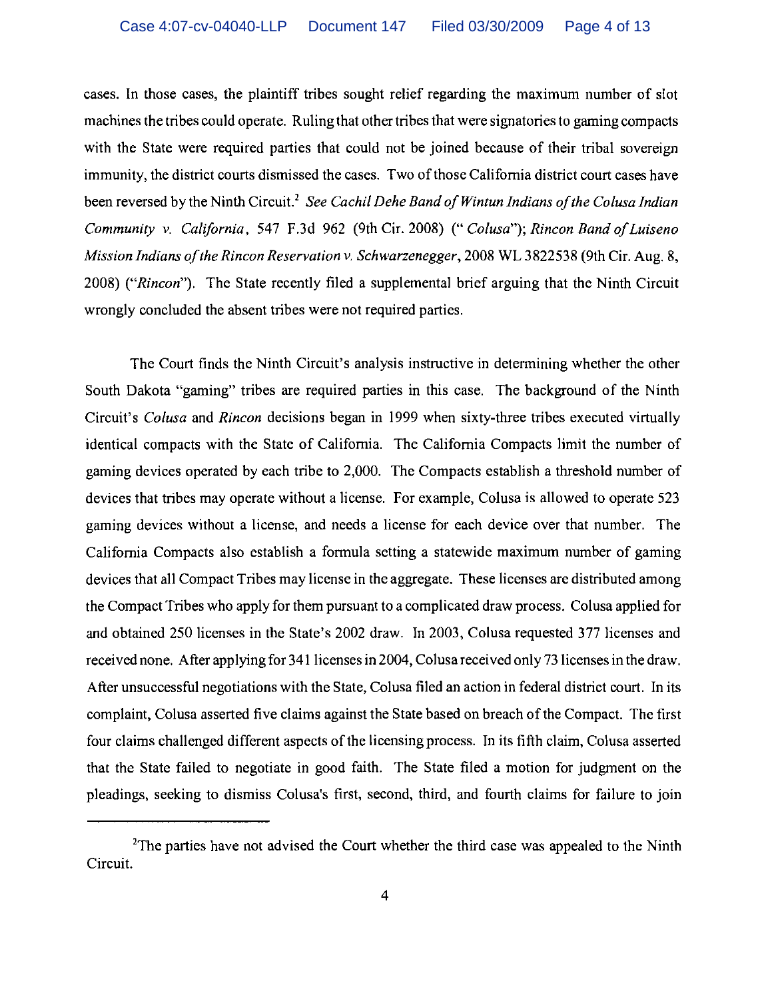cases. In those cases, the plaintiff tribes sought relief regarding the maximum number of slot machines the tribes could operate. Ruling that other tribes that were signatories to gaming compacts with the State were required parties that could not be joined because of their tribal sovereign immunity, the district courts dismissed the cases. Two of those California district court cases have been reversed by the Ninth Circuit.' *See Cachil Dehe Band ofWintun Indians ofthe Colusa Indian Community* v. *California,* 547 F.3d 962 (9th Cir. 2008) (" *Colusa"); Rincon Band ofLuiseno Mission Indians ofthe Rincon Reservation* v. *Schwarzenegger,* 2008 WL 3822538 (9th Cir. Aug. 8, *2008) ("Rincon").* The State recently filed a supplemental brief arguing that the Ninth Circuit wrongly concluded the absent tribes were not required parties.

The Court finds the Ninth Circuit's analysis instructive in determining whether the other South Dakota "gaming" tribes are required parties in this case. The background of the Ninth Circuit's *Colusa* and *Rincon* decisions began in 1999 when sixty-three tribes executed virtually identical compacts with the State of California. The California Compacts limit the number of gaming devices operated by each tribe to 2,000. The Compacts establish a threshold number of devices that tribes may operate without a license. For example, Colusa is allowed to operate 523 gaming devices without a license, and needs a license for each device over that number. The California Compacts also establish a formula setting a statewide maximum number of gaming devices that all Compact Tribes may license in the aggregate. These licenses are distributed among the Compact Tribes who apply for them pursuant to a complicated draw process. Colusa applied for and obtained 250 licenses in the State's 2002 draw. In 2003, Colusa requested 377 licenses and received none. After applying for 341 licenses in 2004, Colusa received only 73 licenses in the draw. After unsuccessful negotiations with the State, Colusa filed an action in federal district court. In its complaint, Colusa asserted five claims against the State based on breach of the Compact. The first four claims challenged different aspects of the licensing process. In its fifth claim, Colusa asserted that the State failed to negotiate in good faith. The State filed a motion for judgment on the pleadings, seeking to dismiss Colusa's first, second, third, and fourth claims for failure to join

 $2$ The parties have not advised the Court whether the third case was appealed to the Ninth Circuit.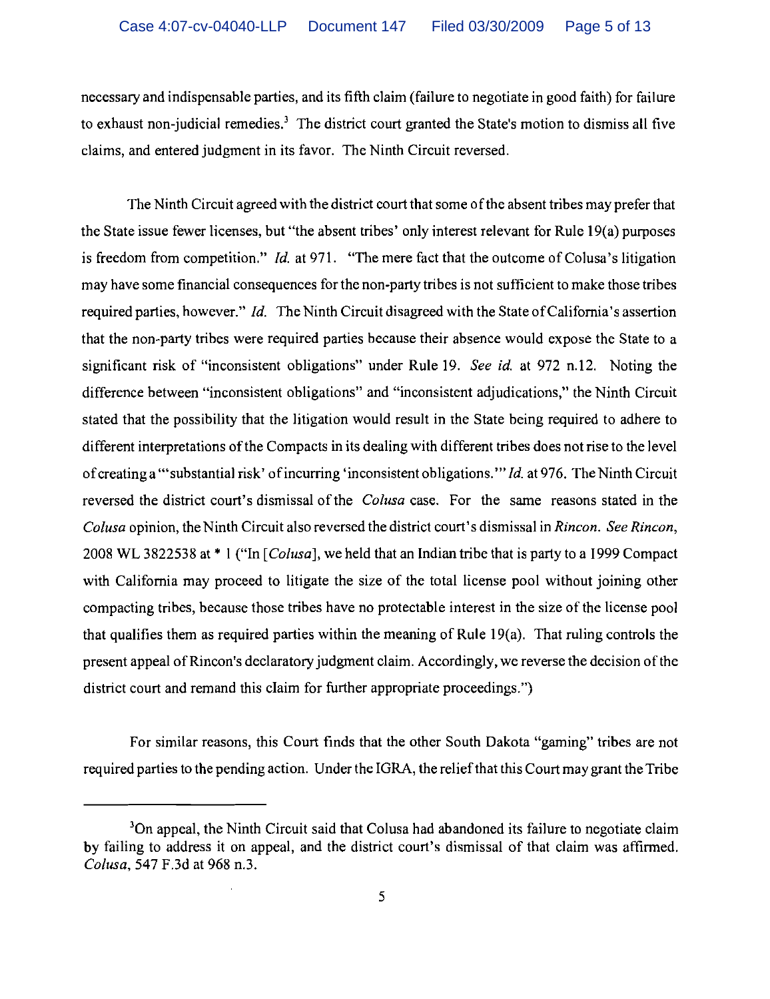necessary and indispensable parties, and its fifth claim (failure to negotiate in good faith) for failure to exhaust non-judicial remedies.' The district court granted the State's motion to dismiss all five claims, and entered judgment in its favor. The Ninth Circuit reversed.

The Ninth Circuit agreed with the district court that some of the absent tribes may prefer that the State issue fewer licenses, but "the absent tribes' only interest relevant for Rule 19(a) purposes is freedom from competition." *Id.* at 971. "The mere fact that the outcome of Colusa's litigation may have some financial consequences for the non-party tribes is not sufficient to make those tribes required parties, however." *[d.* The Ninth Circuit disagreed with the State ofCalifornia's assertion that the non-party tribes were required parties because their absence would expose the State to a significant risk of "inconsistent obligations" under Rule 19. *See id.* at 972 n.12. Noting the difference between "inconsistent obligations" and "inconsistent adjudications," the Ninth Circuit stated that the possibility that the litigation would result in the State being required to adhere to different interpretations of the Compacts in its dealing with different tribes does not rise to the level ofcreating a "'substantial risk' ofincurring 'inconsistent obligations.'" *[d.* at 976. The Ninth Circuit reversed the district court's dismissal of the *Colusa* case. For the same reasons stated in the *Colusa* opinion, the Ninth Circuit also reversed the district court's dismissal in *Rincon. See Rincon,*  2008 WL 3822538 at \* 1 ("In *[Colusa*], we held that an Indian tribe that is party to a 1999 Compact with California may proceed to litigate the size of the total license pool without joining other compacting tribes, because those tribes have no protectable interest in the size of the license pool that qualifies them as required parties within the meaning of Rule 19(a). That ruling controls the present appeal of Rincon's declaratory judgment claim. Accordingly, we reverse the decision ofthe district court and remand this claim for further appropriate proceedings.")

For similar reasons, this Court finds that the other South Dakota "gaming" tribes are not required parties to the pending action. Under the IGRA, the relief that this Court may grant the Tribe

<sup>&</sup>lt;sup>3</sup>On appeal, the Ninth Circuit said that Colusa had abandoned its failure to negotiate claim by failing to address it on appeal, and the district court's dismissal of that claim was affirmed. *Colusa,* 547 F.3d at 968 n.3.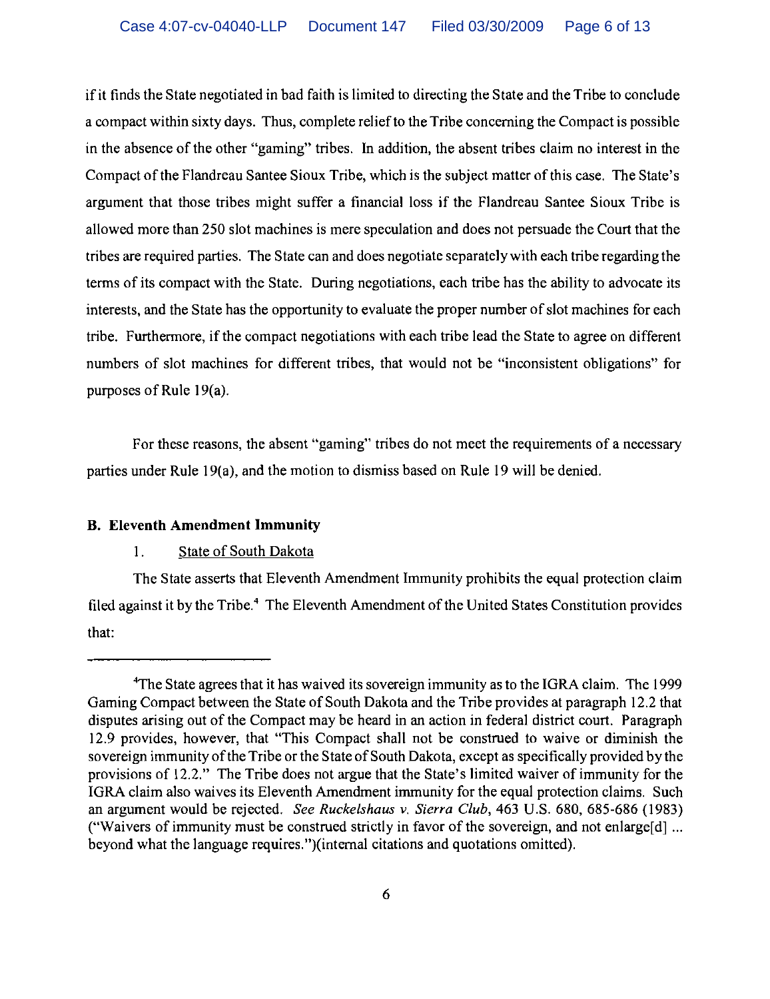if it finds the State negotiated in bad faith is limited to directing the State and the Tribe to conclude a compact within sixty days. Thus, complete relief to the Tribe concerning the Compact is possible in the absence of the other "gaming" tribes. In addition, the absent tribes claim no interest in the Compact of the Flandreau Santee Sioux Tribe, which is the subject matter of this case. The State's argument that those tribes might suffer a financial loss if the Flandreau Santee Sioux Tribe is allowed more than 250 slot machines is mere speculation and does not persuade the Court that the tribes are required parties. The State can and does negotiate separately with each tribe regarding the terms of its compact with the State. During negotiations, each tribe has the ability to advocate its interests, and the State has the opportunity to evaluate the proper number of slot machines for each tribe. Furthermore, if the compact negotiations with each tribe lead the State to agree on different numbers of slot machines for different tribes, that would not be "inconsistent obligations" for purposes of Rule 19(a).

For these reasons, the absent "gaming" tribes do not meet the requirements of a necessary parties under Rule 19(a), and the motion to dismiss based on Rule 19 will be denied.

#### **B.** Eleventh **Amendment Immunity**

#### I. State of South Dakota

The State asserts that Eleventh Amendment Immunity prohibits the equal protection claim filed against it by the Tribe.<sup>4</sup> The Eleventh Amendment of the United States Constitution provides that:

<sup>&</sup>lt;sup>4</sup>The State agrees that it has waived its sovereign immunity as to the IGRA claim. The 1999 Gaming Compact between the State of South Dakota and the Tribe provides at paragraph 12.2 that disputes arising out of the Compact may be heard in an action in federal district court. Paragraph 12.9 provides, however, that "This Compact shall not be construed to waive or diminish the sovereign immunity of the Tribe or the State of South Dakota, except as specifically provided by the provisions of 12.2." The Tribe does not argue that the State's limited waiver of immunity for the IGRA claim also waives its Eleventh Amendment immunity for the equal protection claims. Such an argument would be rejected. *See Ruckelshaus v. Sierra Club,* 463 U.S. 680, 685-686 (1983) ("Waivers of immunity must be construed strictly in favor of the sovereign, and not enlarge[d] ... beyond what the language requires. ")(internal citations and quotations omitted).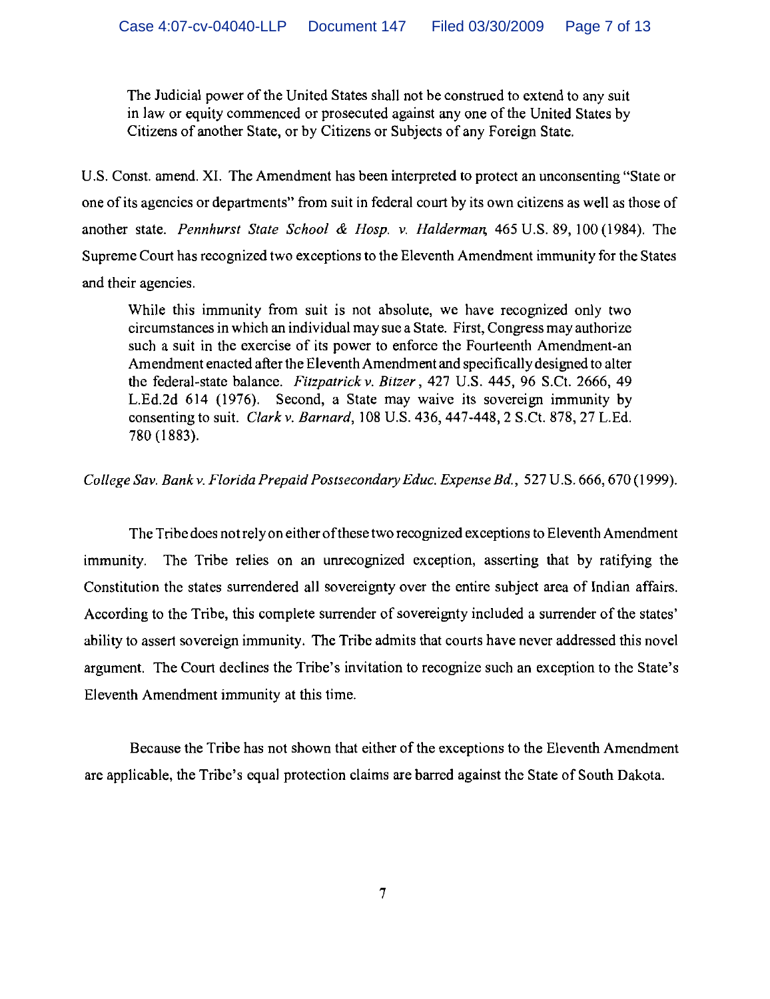The Judicial power of the United States shall not be construed to extend to any suit in law or equity commenced or prosecuted against anyone of the United States by Citizens of another State, or by Citizens or Subjects of any Foreign State.

U.S. Const. amend. XI. The Amendment has been interpreted to protect an unconsenting "State or one of its agencies or departments" from suit in federal court by its own citizens as well as those of another state. *Pennhurst State School* & *Hasp.* v. *Halderman,* 465 U.S. 89, 100 (1984). The Supreme Court has recognized two exceptions to the Eleventh Amendment immunity for the States and their agencies.

While this immunity from suit is not absolute, we have recognized only two circumstances in which an individual may sue a State. First, Congress may authorize such a suit in the exercise of its power to enforce the Fourteenth Amendment-an Amendment enacted after the Eleventh Amendment and specifically designed to alter the federal-state balance. *Fitzpatrick* v. *Bitzer,* 427 U.S. 445, 96 S.C!. 2666, 49 L.Ed.2d 614 (1976). Second, a State may waive its sovereign immunity by consenting to suit. *Clarkv. Barnard,* 108 U.S. 436, 447-448, 2 S.Ct. 878, 27 L.Ed. 780 (1883).

*College Sav. Bank* v. *Florida Prepaid Postsecondary Educ. Expense Bd.,* 527 U.S. 666, 670 (1999).

The Tribe does not rely on either ofthese two recognized exceptions to Eleventh Amendment immunity. The Tribe relies on an unrecognized exception, asserting that by ratifying the Constitution the states surrendered all sovereignty over the entire subject area of Indian affairs. According to the Tribe, this complete surrender of sovereignty included a surrender of the states' ability to assert sovereign immunity. The Tribe admits that courts have never addressed this novel argument. The Court declines the Tribe's invitation to recognize such an exception to the State's Eleventh Amendment immunity at this time.

Because the Tribe has not shown that either of the exceptions to the Eleventh Amendment are applicable, the Tribe's equal protection claims are barred against the State of South Dakota.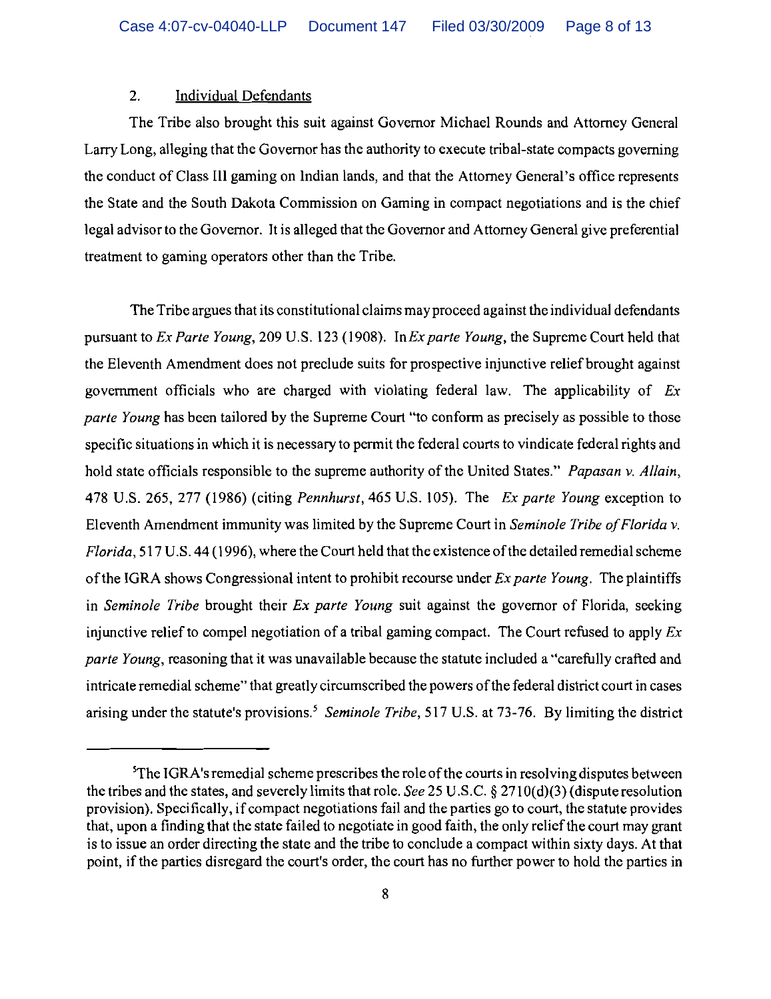#### 2. Individual Defendants

The Tribe also brought this suit against Governor Michael Rounds and Attorney General Larry Long, alleging that the Governor has the authority to execute tribal-state compacts governing the conduct of Class III gaming on Indian lands, and that the Attorney General's office represents the State and the South Dakota Commission on Gaming in compact negotiations and is the chief legal advisor to the Governor. It is alleged that the Governor and Attorney General give preferential treatment to gaming operators other than the Tribe.

The Tribe argues that its constitutional claims may proceed against the individual defendants pursuant to *Ex Parte Young,* 209 U.S. 123 (1908). InEx *parte Young,* the Supreme Court held that the Eleventh Amendment does not preclude suits for prospective injunctive relief brought against government officials who are charged with violating federal law. The applicability of *Ex parte Young* has been tailored by the Supreme Court "to conform as precisely as possible to those specific situations in which it is necessary to permit the federal courts to vindicate federal rights and hold state officials responsible to the supreme authority of the United States." *Papasan* v. *Allain,*  478 U.S. 265, 277 (1986) (citing *Pennhurst,* 465 U.S. 105). The *Ex parte Young* exception to Eleventh Amendment immunity was limited by the Supreme Court in *Seminole Tribe ofFlorida* v. *Florida*, 517 U.S. 44 (1996), where the Court held that the existence of the detailed remedial scheme ofthe IGRA shows Congressional intent to prohibit recourse under *Ex parte Young.* The plaintiffs in *Seminole Tribe* brought their *Ex parte Young* suit against the governor of Florida, seeking injunctive relief to compel negotiation of a tribal gaming compact. The Court refused to apply *Ex parte Young,* reasoning that it was unavailable because the statute included a "carefully crafted and intricate remedial scheme" that greatly circumscribed the powers of the federal district court in cases arising under the statute's provisions.<sup>5</sup> *Seminole Tribe*, 517 U.S. at 73-76. By limiting the district

<sup>&</sup>lt;sup>5</sup>The IGRA's remedial scheme prescribes the role of the courts in resolving disputes between the tribes and the states, and severely limits that role. *See* 25 U.S.C. § 2710(d)(3) (dispute resolution provision). Specifically, if compact negotiations fail and the parties go to court, the statute provides that, upon a finding that the state failed to negotiate in good faith, the only relief the court may grant is to issue an order directing the state and the tribe to conclude a compact within sixty days. At that point, if the parties disregard the court's order, the court has no further power to hold the parties in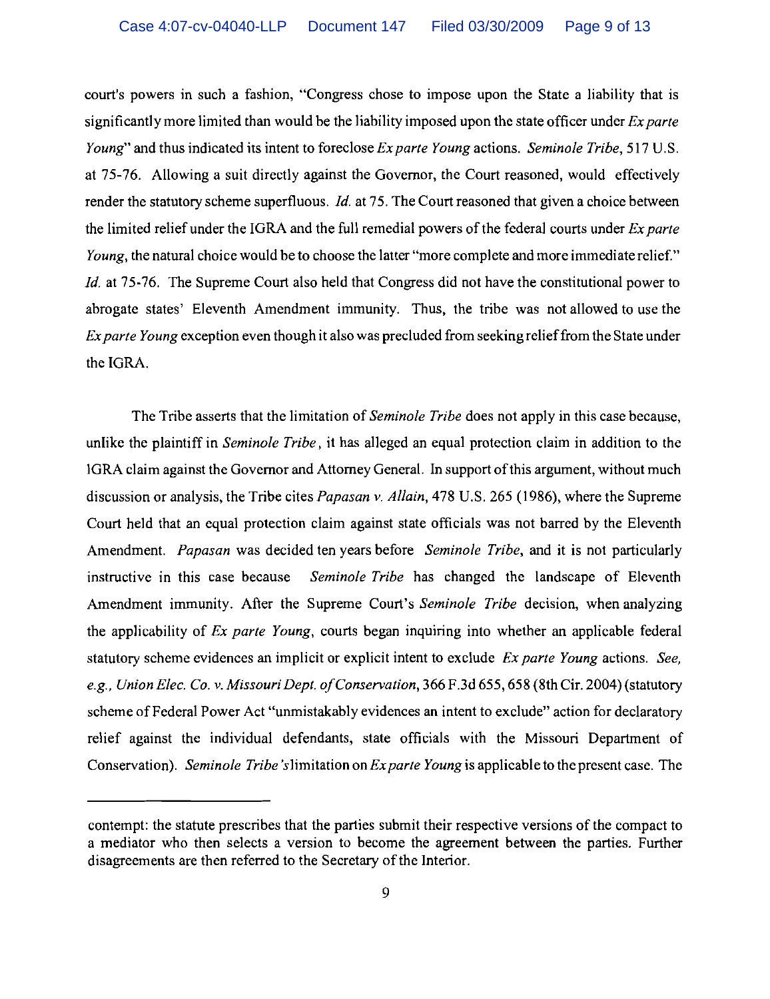court's powers in such a fashion, "Congress chose to impose upon the State a liability that is significantly more limited than would be the liability imposed upon the state officer under *Ex parte Young"* and thus indicated its intent to foreclose *Ex parte Young* actions. *Seminole Tribe,* 517 U.S. at 75-76. Allowing a suit directly against the Governor, the Court reasoned, would effectively render the statutory scheme superfluous. *!d.* at 75. The Court reasoned that given a choice between the limited relief under the IGRA and the full remedial powers of the federal courts under *Ex parte Young*, the natural choice would be to choose the latter "more complete and more immediate relief." *Id.* at 75-76. The Supreme Court also held that Congress did not have the constitutional power to abrogate states' Eleventh Amendment immunity. Thus, the tribe was not allowed to use the *Exparte Young* exception even though it also was precluded from seeking relief from the State under the IGRA.

The Tribe asserts that the limitation of *Seminole Tribe* does not apply in this case because, unlike the plaintiff in *Seminole Tribe,* it has alleged an equal protection claim in addition to the IGRA claim against the Governor and Attorney General. In support of this argument, without much discussion or analysis, the Tribe cites *Papasan v. Allain,* 478 U.S. 265 (1986), where the Supreme Court held that an equal protection claim against state officials was not barred by the Eleventh Amendment. *Papasan* was decided ten years before *Seminole Tribe,* and it is not particularly instructive in this case because *Seminole Tribe* has changed the landscape of Eleventh Amendment immunity. After the Supreme Court's *Seminole Tribe* decision, when analyzing the applicability of *Ex parte Young,* courts began inquiring into whether an applicable federal statutory scheme evidences an implicit or explicit intent to exclude *Ex parte Young* actions. *See, e.g., UnionElec. Co. v. Missouri Dept. a/Conservation,* 366 F.3d 655, 658 (8th Cir. 2004) (statutory scheme of Federal Power Act "unmistakably evidences an intent to exclude" action for declaratory relief against the individual defendants, state officials with the Missouri Department of Conservation). *Seminole Tribe's* limitation on *Exparte Young* is applicable to the present case. The

contempt: the statute prescribes that the parties submit their respective versions of the compact to a mediator who then selects a version to become the agreement between the parties. Further disagreements are then referred to the Secretary of the Interior.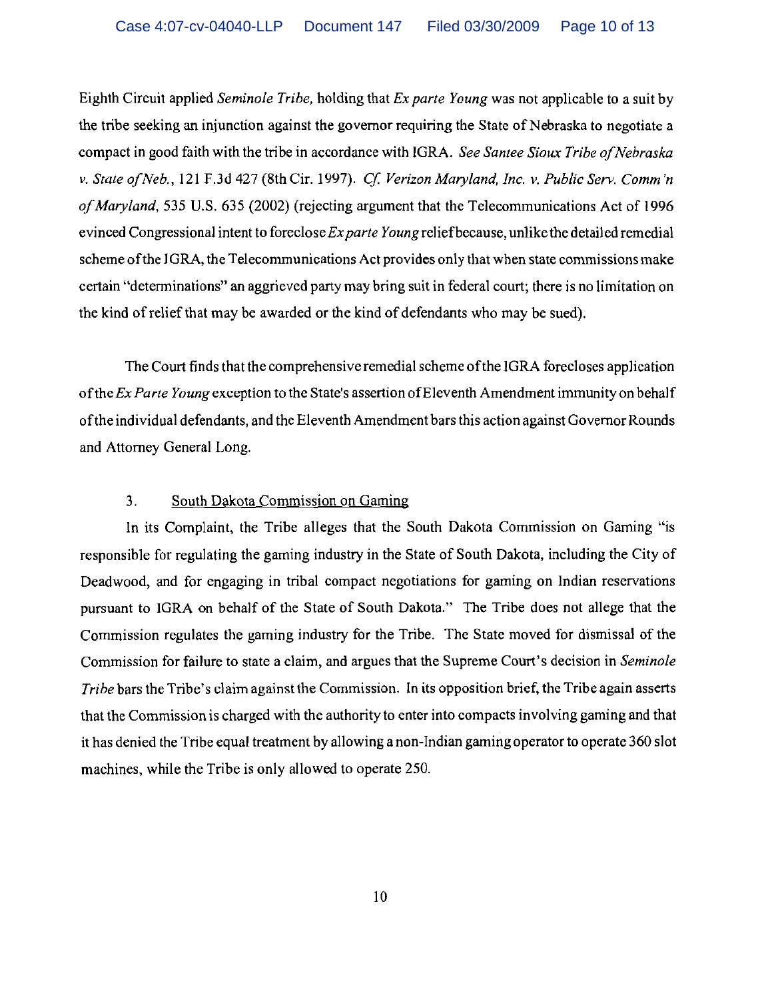Eighth Circuit applied *Seminole Tribe,* holding that *Ex parte Young* was not applicable to a suit by the tribe seeking an injunction against the governor requiring the State of Nebraska to negotiate a compact in good faith with the tribe in accordance with IGRA. *See Santee Sioux Tribe ofNebraska v. State of Neb.,* 121 F.3d 427 (8th Cir. 1997). *Cf. Verizon Maryland, Inc. v. Public Serv. Comm'n ofMaryland,* 535 U.S. 635 (2002) (rejecting argument that the Telecommunications Act of 1996 evinced Congressional intent to foreclose *Exparte* Youngreliefbecause, unlike the detailed remedial scheme ofthe IGRA, the Telecommunications Act provides only that when state commissions make certain "determinations" an aggrieved party may bring suit in federal court; there is no limitation on the kind of relief that may be awarded or the kind of defendants who may be sued).

The Court finds that the comprehensive remedial scheme ofthe IGRA forecloses application ofthe *Ex Parte Young* exception to the State's assertion ofEleventh Amendment immunity on behalf ofthe individual defendants, and the Eleventh Amendment bars this action against Governor Rounds and Attorney General Long.

# 3. South Dakota Commission on Gaming

In its Complaint, the Tribe alleges that the South Dakota Commission on Gaming "is responsible for regulating the gaming industry in the State of South Dakota, including the City of Deadwood, and for engaging in tribal compact negotiations for gaming on Indian reservations pursuant to IGRA on behalf of the State of South Dakota." The Tribe does not allege that the Commission regulates the gaming industry for the Tribe. The State moved for dismissal of the Commission for failure to state a claim, and argues that the Supreme Court's decision in *Seminole Tribe* bars the Tribe's claim against the Commission. **In** its opposition brief, the Tribe again asserts that the Commission is charged with the authority to enter into compacts involving gaming and that it has denied the Tribe equal treatment by allowing a non-Indian gaming operator to operate 360 slot machines, while the Tribe is only allowed to operate 250.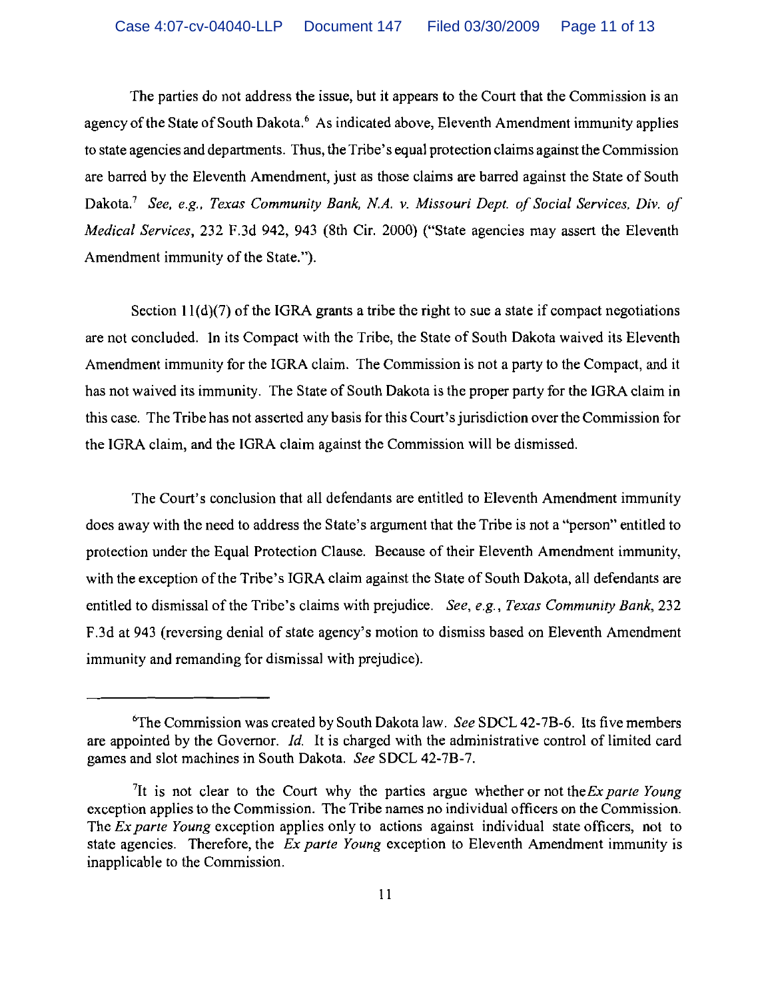The parties do not address the issue, but it appears to the Court that the Commission is an agency of the State of South Dakota.<sup>6</sup> As indicated above, Eleventh Amendment immunity applies to state agencies and departments. Thus, the Tribe's equal protection claims against the Commission are barred by the Eleventh Amendment, just as those claims are barred against the State of South Dakota.<sup>7</sup> *See, e.g., Texas Community Bank, N.A. y. Missouri Dept. of Social Services, Div. of Medical Services,* 232 F.3d 942, 943 (8th Cir. 2000) ("State agencies may assert the Eleventh Amendment immunity of the State.").

Section  $11(d)(7)$  of the IGRA grants a tribe the right to sue a state if compact negotiations are not concluded. In its Compact with the Tribe, the State of South Dakota waived its Eleventh Amendment immunity for the IGRA claim. The Commission is not a party to the Compact, and it has not waived its immunity. The State of South Dakota is the proper party for the IGRA claim in this case. The Tribe has not asserted any basis for this Court's jurisdiction over the Commission for the IGRA claim, and the IGRA claim against the Commission will be dismissed.

The Court's conclusion that all defendants are entitled to Eleventh Amendment immunity does away with the need to address the State's argument that the Tribe is not a "person" entitled to protection under the Equal Protection Clause. Because of their Eleventh Amendment immunity, with the exception of the Tribe's IGRA claim against the State of South Dakota, all defendants are entitled to dismissal of the Tribe's claims with prejudice. *See, e.g., Texas Community Bank,* 232 F.3d at 943 (reversing denial of state agency's motion to dismiss based on Eleventh Amendment immunity and remanding for dismissal with prejudice).

<sup>&#</sup>x27;The Commission was created by South Dakota law. *See* SDCL 42-7B-6. Its five members are appointed by the Governor. *Id.* It is charged with the administrative control of limited card games and slot machines in South Dakota. *See* SDCL 42-7B-7.

<sup>7</sup>It is not clear to the Court why the parties argue whether or not the *Ex parte Young*  exception applies to the Commission. The Tribe names no individual officers on the Commission. The *Ex parte Young* exception applies only to actions against individual state officers, not to state agencies. Therefore, the *Ex parte Young* exception to Eleventh Amendment immunity is inapplicable to the Commission.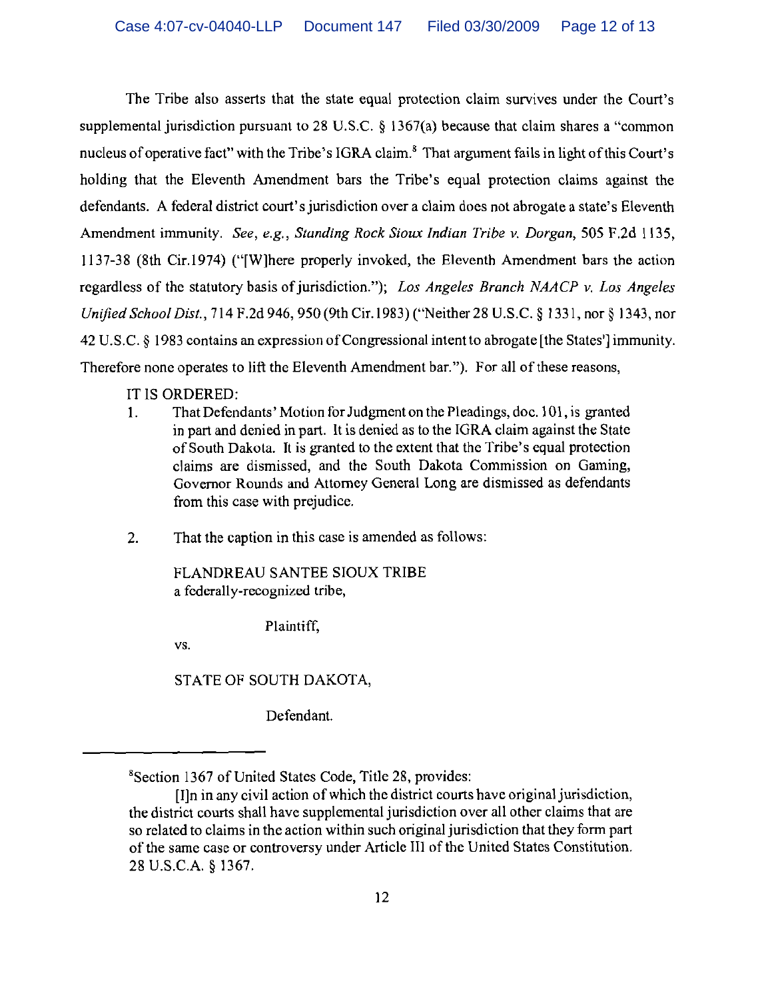The Tribe also asserts that the state equal protection claim survives under the Court's supplemental jurisdiction pursuant to 28 U.S.C. § 1367(a) because that claim shares a "common nucleus of operative fact" with the Tribe's IGRA claim.<sup>8</sup> That argument fails in light of this Court's holding that the Eleventh Amendment bars the Tribe's equal protection claims against the defendants. A federal district court's jurisdiction over a claim does not abrogate a state's Eleventh Amendment immunity. *See, e.g., Standing Rock Sioux Indian Tribe v. Dorgan,* 505 F.2d 1135, 1137-38 (8th Cir.1974) ("[W]here properly invoked, the Eleventh Amendment bars the action regardless of the statutory basis of jurisdiction."); *Los Angeles Branch NAACP v. Los Angeles Unified School Dist.,* 714 F.2d 946, 950 (9th Cir.1983)("Neither 28 U.S.C. § 1331, nor § 1343, nor 42 U.S.c. § 1983 contains an expression ofCongressional intent to abrogate [the States'] immunity. Therefore none operates to lift the Eleventh Amendment bar."). For all of these reasons,

# IT IS ORDERED:

- I. That Defendants' Motion for Judgment on the Pleadings, doc. 101, is granted in part and denied in part. It is denied as to the IGRA claim against the State of South Dakota. It is granted to the extent that the Tribe's equal protection claims are dismissed, and the South Dakota Commission on Gaming, Governor Rounds and Attorney General Long are dismissed as defendants from this case with prejudice.
- 2. That the caption in this case is amended as follows:

FLANDREAU SANTEE SIOUX TRIBE a federally-recognized tribe,

Plaintiff,

vs.

STATE OF SOUTH DAKOTA,

Defendant.

<sup>&#</sup>x27;Section 1367 of United States Code, Title 28, provides:

<sup>[</sup>I]n in any civil action ofwhich the district courts have original jurisdiction, the district courts shall have supplemental jurisdiction over all other claims that are so related to claims in the action within such original jurisdiction that they form part of the same case or controversy under Article III of the United States Constitution. 28 U.S.C.A. § 1367.